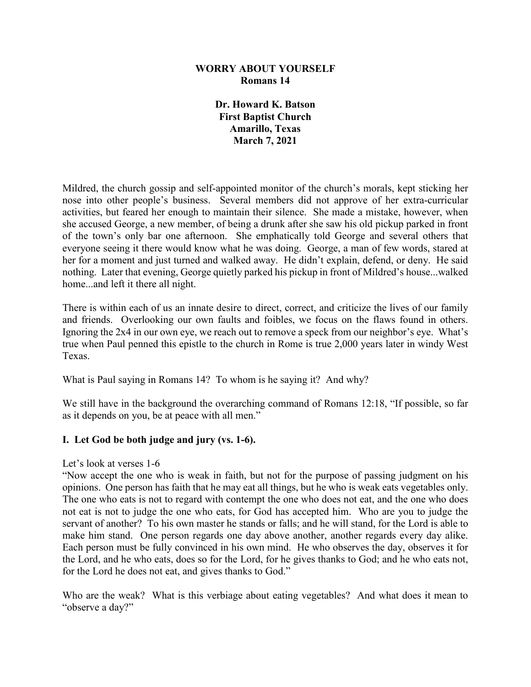### **WORRY ABOUT YOURSELF Romans 14**

**Dr. Howard K. Batson First Baptist Church Amarillo, Texas March 7, 2021**

Mildred, the church gossip and self-appointed monitor of the church's morals, kept sticking her nose into other people's business. Several members did not approve of her extra-curricular activities, but feared her enough to maintain their silence. She made a mistake, however, when she accused George, a new member, of being a drunk after she saw his old pickup parked in front of the town's only bar one afternoon. She emphatically told George and several others that everyone seeing it there would know what he was doing. George, a man of few words, stared at her for a moment and just turned and walked away. He didn't explain, defend, or deny. He said nothing. Later that evening, George quietly parked his pickup in front of Mildred's house...walked home...and left it there all night.

There is within each of us an innate desire to direct, correct, and criticize the lives of our family and friends. Overlooking our own faults and foibles, we focus on the flaws found in others. Ignoring the 2x4 in our own eye, we reach out to remove a speck from our neighbor's eye. What's true when Paul penned this epistle to the church in Rome is true 2,000 years later in windy West Texas.

What is Paul saying in Romans 14? To whom is he saying it? And why?

We still have in the background the overarching command of Romans 12:18, "If possible, so far as it depends on you, be at peace with all men."

## **I. Let God be both judge and jury (vs. 1-6).**

### Let's look at verses 1-6

"Now accept the one who is weak in faith, but not for the purpose of passing judgment on his opinions. One person has faith that he may eat all things, but he who is weak eats vegetables only. The one who eats is not to regard with contempt the one who does not eat, and the one who does not eat is not to judge the one who eats, for God has accepted him. Who are you to judge the servant of another? To his own master he stands or falls; and he will stand, for the Lord is able to make him stand. One person regards one day above another, another regards every day alike. Each person must be fully convinced in his own mind. He who observes the day, observes it for the Lord, and he who eats, does so for the Lord, for he gives thanks to God; and he who eats not, for the Lord he does not eat, and gives thanks to God."

Who are the weak? What is this verbiage about eating vegetables? And what does it mean to "observe a day?"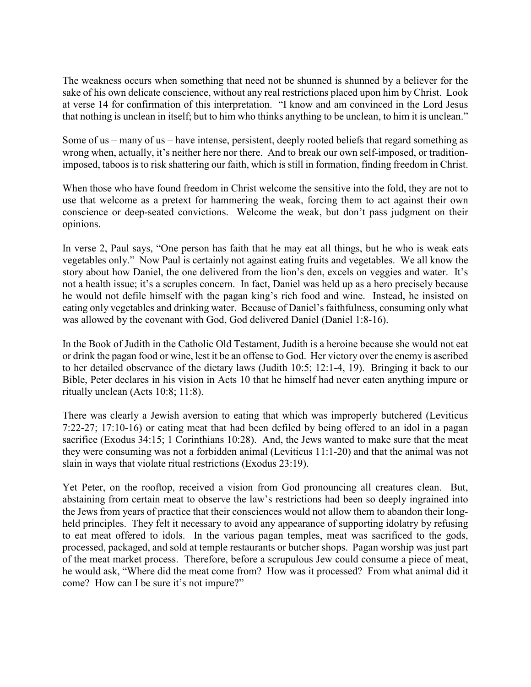The weakness occurs when something that need not be shunned is shunned by a believer for the sake of his own delicate conscience, without any real restrictions placed upon him by Christ. Look at verse 14 for confirmation of this interpretation. "I know and am convinced in the Lord Jesus that nothing is unclean in itself; but to him who thinks anything to be unclean, to him it is unclean."

Some of us – many of us – have intense, persistent, deeply rooted beliefs that regard something as wrong when, actually, it's neither here nor there. And to break our own self-imposed, or traditionimposed, taboos is to risk shattering our faith, which is still in formation, finding freedom in Christ.

When those who have found freedom in Christ welcome the sensitive into the fold, they are not to use that welcome as a pretext for hammering the weak, forcing them to act against their own conscience or deep-seated convictions. Welcome the weak, but don't pass judgment on their opinions.

In verse 2, Paul says, "One person has faith that he may eat all things, but he who is weak eats vegetables only." Now Paul is certainly not against eating fruits and vegetables. We all know the story about how Daniel, the one delivered from the lion's den, excels on veggies and water. It's not a health issue; it's a scruples concern. In fact, Daniel was held up as a hero precisely because he would not defile himself with the pagan king's rich food and wine. Instead, he insisted on eating only vegetables and drinking water. Because of Daniel's faithfulness, consuming only what was allowed by the covenant with God, God delivered Daniel (Daniel 1:8-16).

In the Book of Judith in the Catholic Old Testament, Judith is a heroine because she would not eat or drink the pagan food or wine, lest it be an offense to God. Her victory over the enemy is ascribed to her detailed observance of the dietary laws (Judith 10:5; 12:1-4, 19). Bringing it back to our Bible, Peter declares in his vision in Acts 10 that he himself had never eaten anything impure or ritually unclean (Acts 10:8; 11:8).

There was clearly a Jewish aversion to eating that which was improperly butchered (Leviticus 7:22-27; 17:10-16) or eating meat that had been defiled by being offered to an idol in a pagan sacrifice (Exodus 34:15; 1 Corinthians 10:28). And, the Jews wanted to make sure that the meat they were consuming was not a forbidden animal (Leviticus 11:1-20) and that the animal was not slain in ways that violate ritual restrictions (Exodus 23:19).

Yet Peter, on the rooftop, received a vision from God pronouncing all creatures clean. But, abstaining from certain meat to observe the law's restrictions had been so deeply ingrained into the Jews from years of practice that their consciences would not allow them to abandon their longheld principles. They felt it necessary to avoid any appearance of supporting idolatry by refusing to eat meat offered to idols. In the various pagan temples, meat was sacrificed to the gods, processed, packaged, and sold at temple restaurants or butcher shops. Pagan worship was just part of the meat market process. Therefore, before a scrupulous Jew could consume a piece of meat, he would ask, "Where did the meat come from? How was it processed? From what animal did it come? How can I be sure it's not impure?"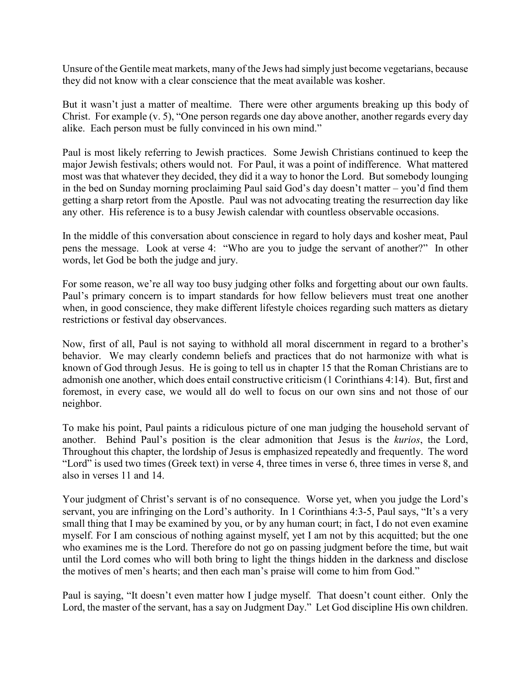Unsure of the Gentile meat markets, many of the Jews had simply just become vegetarians, because they did not know with a clear conscience that the meat available was kosher.

But it wasn't just a matter of mealtime. There were other arguments breaking up this body of Christ. For example (v. 5), "One person regards one day above another, another regards every day alike. Each person must be fully convinced in his own mind."

Paul is most likely referring to Jewish practices. Some Jewish Christians continued to keep the major Jewish festivals; others would not. For Paul, it was a point of indifference. What mattered most was that whatever they decided, they did it a way to honor the Lord. But somebody lounging in the bed on Sunday morning proclaiming Paul said God's day doesn't matter – you'd find them getting a sharp retort from the Apostle. Paul was not advocating treating the resurrection day like any other. His reference is to a busy Jewish calendar with countless observable occasions.

In the middle of this conversation about conscience in regard to holy days and kosher meat, Paul pens the message. Look at verse 4: "Who are you to judge the servant of another?" In other words, let God be both the judge and jury.

For some reason, we're all way too busy judging other folks and forgetting about our own faults. Paul's primary concern is to impart standards for how fellow believers must treat one another when, in good conscience, they make different lifestyle choices regarding such matters as dietary restrictions or festival day observances.

Now, first of all, Paul is not saying to withhold all moral discernment in regard to a brother's behavior. We may clearly condemn beliefs and practices that do not harmonize with what is known of God through Jesus. He is going to tell us in chapter 15 that the Roman Christians are to admonish one another, which does entail constructive criticism (1 Corinthians 4:14). But, first and foremost, in every case, we would all do well to focus on our own sins and not those of our neighbor.

To make his point, Paul paints a ridiculous picture of one man judging the household servant of another. Behind Paul's position is the clear admonition that Jesus is the *kurios*, the Lord, Throughout this chapter, the lordship of Jesus is emphasized repeatedly and frequently. The word "Lord" is used two times (Greek text) in verse 4, three times in verse 6, three times in verse 8, and also in verses 11 and 14.

Your judgment of Christ's servant is of no consequence. Worse yet, when you judge the Lord's servant, you are infringing on the Lord's authority. In 1 Corinthians 4:3-5, Paul says, "It's a very small thing that I may be examined by you, or by any human court; in fact, I do not even examine myself. For I am conscious of nothing against myself, yet I am not by this acquitted; but the one who examines me is the Lord. Therefore do not go on passing judgment before the time, but wait until the Lord comes who will both bring to light the things hidden in the darkness and disclose the motives of men's hearts; and then each man's praise will come to him from God."

Paul is saying, "It doesn't even matter how I judge myself. That doesn't count either. Only the Lord, the master of the servant, has a say on Judgment Day." Let God discipline His own children.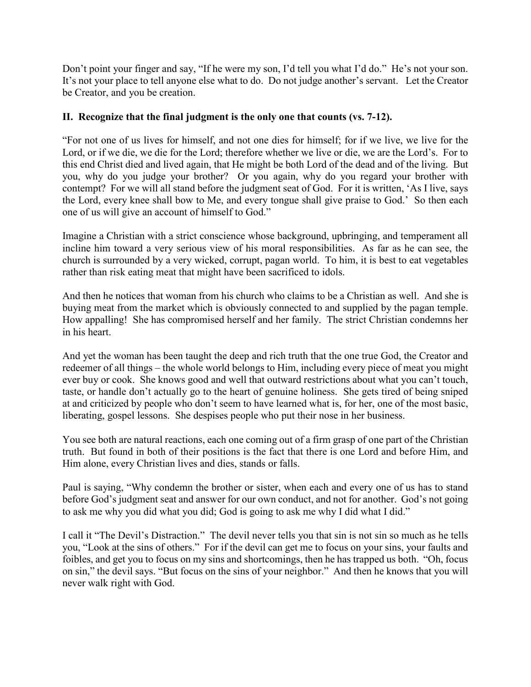Don't point your finger and say, "If he were my son, I'd tell you what I'd do." He's not your son. It's not your place to tell anyone else what to do. Do not judge another's servant. Let the Creator be Creator, and you be creation.

# **II. Recognize that the final judgment is the only one that counts (vs. 7-12).**

"For not one of us lives for himself, and not one dies for himself; for if we live, we live for the Lord, or if we die, we die for the Lord; therefore whether we live or die, we are the Lord's. For to this end Christ died and lived again, that He might be both Lord of the dead and of the living. But you, why do you judge your brother? Or you again, why do you regard your brother with contempt? For we will all stand before the judgment seat of God. For it is written, 'As I live, says the Lord, every knee shall bow to Me, and every tongue shall give praise to God.' So then each one of us will give an account of himself to God."

Imagine a Christian with a strict conscience whose background, upbringing, and temperament all incline him toward a very serious view of his moral responsibilities. As far as he can see, the church is surrounded by a very wicked, corrupt, pagan world. To him, it is best to eat vegetables rather than risk eating meat that might have been sacrificed to idols.

And then he notices that woman from his church who claims to be a Christian as well. And she is buying meat from the market which is obviously connected to and supplied by the pagan temple. How appalling! She has compromised herself and her family. The strict Christian condemns her in his heart.

And yet the woman has been taught the deep and rich truth that the one true God, the Creator and redeemer of all things – the whole world belongs to Him, including every piece of meat you might ever buy or cook. She knows good and well that outward restrictions about what you can't touch, taste, or handle don't actually go to the heart of genuine holiness. She gets tired of being sniped at and criticized by people who don't seem to have learned what is, for her, one of the most basic, liberating, gospel lessons. She despises people who put their nose in her business.

You see both are natural reactions, each one coming out of a firm grasp of one part of the Christian truth. But found in both of their positions is the fact that there is one Lord and before Him, and Him alone, every Christian lives and dies, stands or falls.

Paul is saying, "Why condemn the brother or sister, when each and every one of us has to stand before God's judgment seat and answer for our own conduct, and not for another. God's not going to ask me why you did what you did; God is going to ask me why I did what I did."

I call it "The Devil's Distraction." The devil never tells you that sin is not sin so much as he tells you, "Look at the sins of others." For if the devil can get me to focus on your sins, your faults and foibles, and get you to focus on my sins and shortcomings, then he has trapped us both. "Oh, focus on sin," the devil says. "But focus on the sins of your neighbor." And then he knows that you will never walk right with God.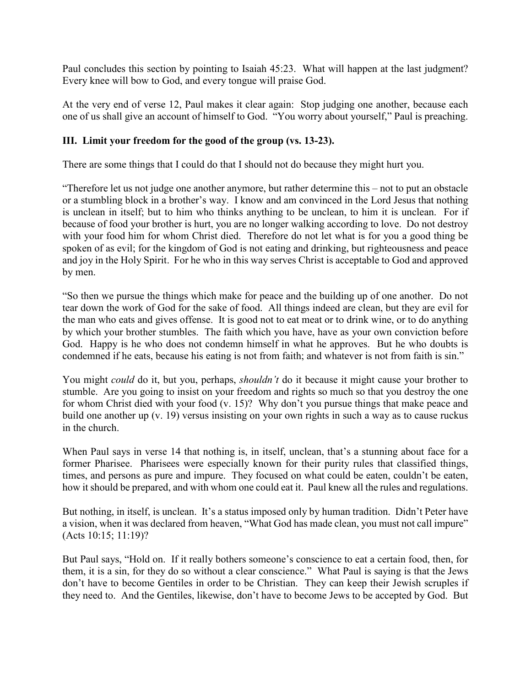Paul concludes this section by pointing to Isaiah 45:23. What will happen at the last judgment? Every knee will bow to God, and every tongue will praise God.

At the very end of verse 12, Paul makes it clear again: Stop judging one another, because each one of us shall give an account of himself to God. "You worry about yourself," Paul is preaching.

## **III. Limit your freedom for the good of the group (vs. 13-23).**

There are some things that I could do that I should not do because they might hurt you.

"Therefore let us not judge one another anymore, but rather determine this – not to put an obstacle or a stumbling block in a brother's way. I know and am convinced in the Lord Jesus that nothing is unclean in itself; but to him who thinks anything to be unclean, to him it is unclean. For if because of food your brother is hurt, you are no longer walking according to love. Do not destroy with your food him for whom Christ died. Therefore do not let what is for you a good thing be spoken of as evil; for the kingdom of God is not eating and drinking, but righteousness and peace and joy in the Holy Spirit. For he who in this way serves Christ is acceptable to God and approved by men.

"So then we pursue the things which make for peace and the building up of one another. Do not tear down the work of God for the sake of food. All things indeed are clean, but they are evil for the man who eats and gives offense. It is good not to eat meat or to drink wine, or to do anything by which your brother stumbles. The faith which you have, have as your own conviction before God. Happy is he who does not condemn himself in what he approves. But he who doubts is condemned if he eats, because his eating is not from faith; and whatever is not from faith is sin."

You might *could* do it, but you, perhaps, *shouldn't* do it because it might cause your brother to stumble. Are you going to insist on your freedom and rights so much so that you destroy the one for whom Christ died with your food (v. 15)? Why don't you pursue things that make peace and build one another up (v. 19) versus insisting on your own rights in such a way as to cause ruckus in the church.

When Paul says in verse 14 that nothing is, in itself, unclean, that's a stunning about face for a former Pharisee. Pharisees were especially known for their purity rules that classified things, times, and persons as pure and impure. They focused on what could be eaten, couldn't be eaten, how it should be prepared, and with whom one could eat it. Paul knew all the rules and regulations.

But nothing, in itself, is unclean. It's a status imposed only by human tradition. Didn't Peter have a vision, when it was declared from heaven, "What God has made clean, you must not call impure" (Acts 10:15; 11:19)?

But Paul says, "Hold on. If it really bothers someone's conscience to eat a certain food, then, for them, it is a sin, for they do so without a clear conscience." What Paul is saying is that the Jews don't have to become Gentiles in order to be Christian. They can keep their Jewish scruples if they need to. And the Gentiles, likewise, don't have to become Jews to be accepted by God. But